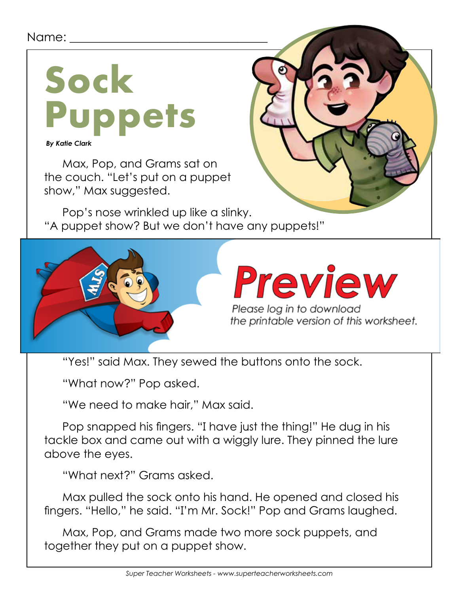#### Name: \_\_\_\_\_\_\_\_\_\_\_\_\_\_\_\_\_\_\_\_\_\_\_\_\_\_\_\_\_\_\_\_\_



 *By Katie Clark*

Max, Pop, and Grams sat on the couch. "Let's put on a puppet show," Max suggested.

Pop's nose wrinkled up like a slinky. "A puppet show? But we don't have any puppets!"



# Preview

Please log in to download the printable version of this worksheet.

"Yes!" said Max. They sewed the buttons onto the sock.

"What now?" Pop asked.

"We need to make hair," Max said.

Pop snapped his fingers. "I have just the thing!" He dug in his tackle box and came out with a wiggly lure. They pinned the lure above the eyes.

"What next?" Grams asked.

Max pulled the sock onto his hand. He opened and closed his fingers. "Hello," he said. "I'm Mr. Sock!" Pop and Grams laughed.

Max, Pop, and Grams made two more sock puppets, and together they put on a puppet show.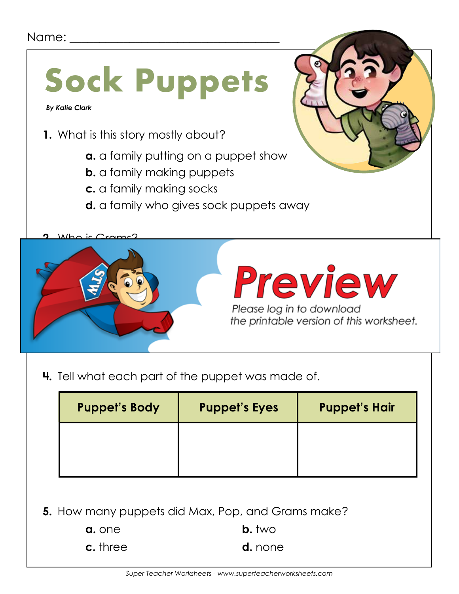#### Name:



**4.** Tell what each part of the puppet was made of.

| <b>Puppet's Body</b> | <b>Puppet's Eyes</b> | <b>Puppet's Hair</b> |
|----------------------|----------------------|----------------------|
|                      |                      |                      |
|                      |                      |                      |

**5.** How many puppets did Max, Pop, and Grams make?

| a. one   | $b.$ two       |
|----------|----------------|
| c. three | <b>d.</b> none |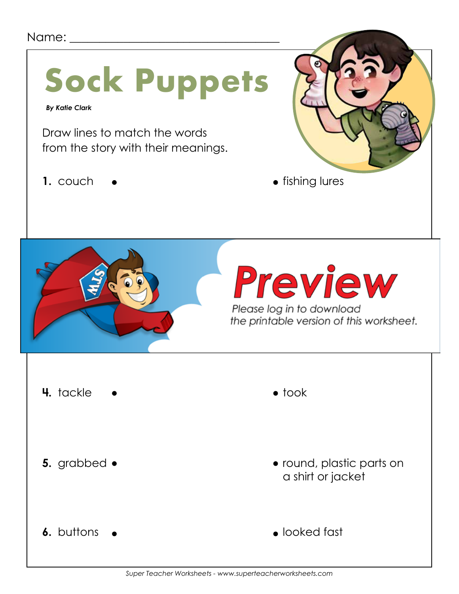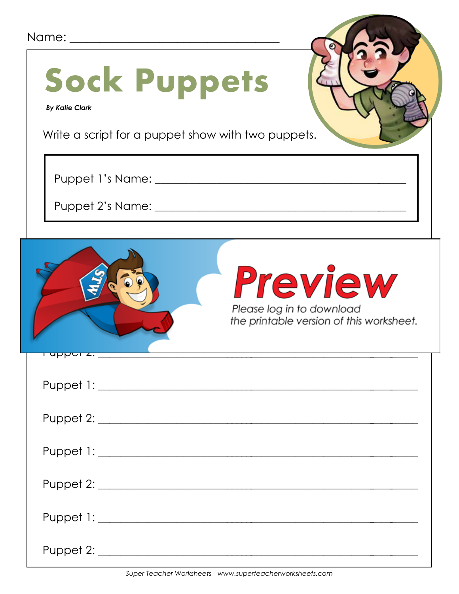| Name: ______                                                                                       |                                                                                  |
|----------------------------------------------------------------------------------------------------|----------------------------------------------------------------------------------|
| <b>Sock Puppets</b><br><b>By Katie Clark</b><br>Write a script for a puppet show with two puppets. |                                                                                  |
| Puppet 1's Name: ______                                                                            |                                                                                  |
| Puppet 2's Name: _______                                                                           |                                                                                  |
|                                                                                                    | Preview<br>Please log in to download<br>the printable version of this worksheet. |
| <u> 1 uppoi 2. _____________</u>                                                                   |                                                                                  |
|                                                                                                    |                                                                                  |
|                                                                                                    |                                                                                  |
|                                                                                                    |                                                                                  |
|                                                                                                    |                                                                                  |
|                                                                                                    |                                                                                  |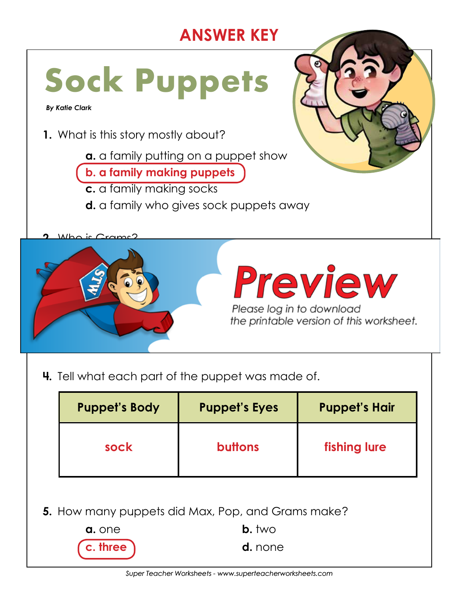## **ANSWER KEY**



**4.** Tell what each part of the puppet was made of.

|                                                          | <b>Puppet's Body</b> | <b>Puppet's Eyes</b> | <b>Puppet's Hair</b> |  |
|----------------------------------------------------------|----------------------|----------------------|----------------------|--|
|                                                          | sock                 | <b>buttons</b>       | fishing lure         |  |
| <b>5.</b> How many puppets did Max, Pop, and Grams make? |                      |                      |                      |  |
|                                                          | $b.$ two<br>a. one   |                      |                      |  |
|                                                          | hree<br>d. none      |                      |                      |  |